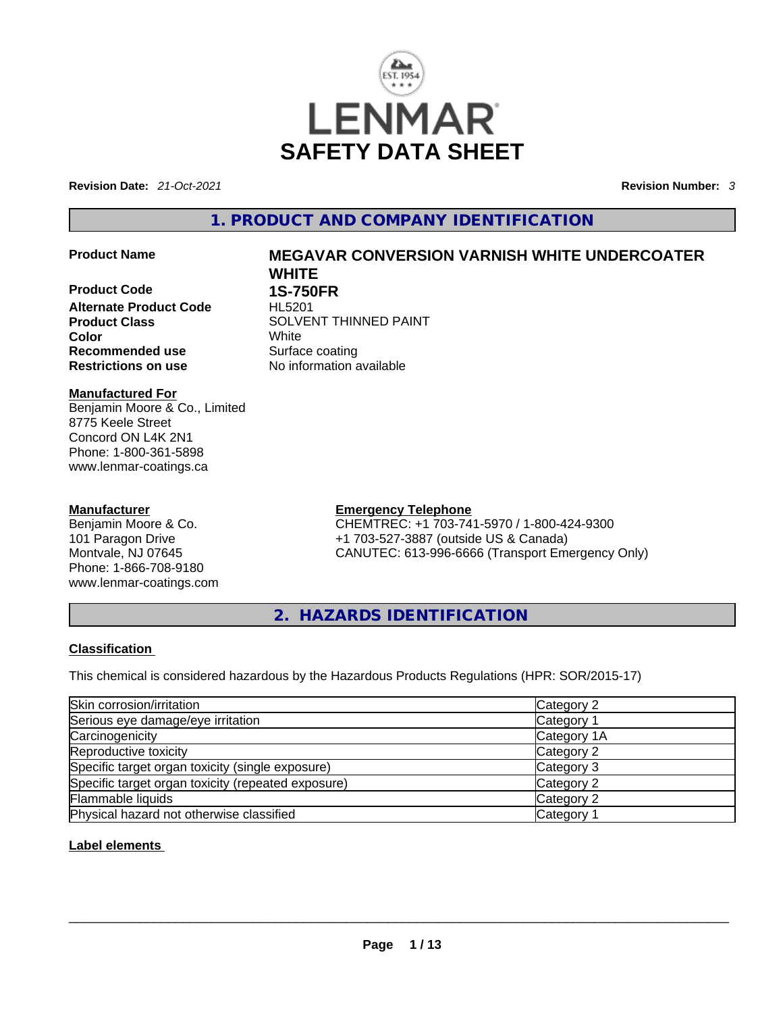

**Revision Date:** *21-Oct-2021* **Revision Number:** *3*

# **1. PRODUCT AND COMPANY IDENTIFICATION**

**Product Code 1S-750FR Alternate Product Code** HL5201 **Color** White **Recommended use Example 18 Surface coating<br>
<b>Restrictions on use** No information a

#### **Manufactured For** Benjamin Moore & Co., Limited 8775 Keele Street Concord ON L4K 2N1 Phone: 1-800-361-5898 www.lenmar-coatings.ca

# **Manufacturer**

Benjamin Moore & Co. 101 Paragon Drive Montvale, NJ 07645 Phone: 1-866-708-9180 www.lenmar-coatings.com

# **Product Name MEGAVAR CONVERSION VARNISH WHITE UNDERCOATER WHITE**

**Product Class SOLVENT THINNED PAINT Restrictions on use** No information available

> **Emergency Telephone** CHEMTREC: +1 703-741-5970 / 1-800-424-9300 +1 703-527-3887 (outside US & Canada) CANUTEC: 613-996-6666 (Transport Emergency Only)

**2. HAZARDS IDENTIFICATION** 

### **Classification**

This chemical is considered hazardous by the Hazardous Products Regulations (HPR: SOR/2015-17)

| Skin corrosion/irritation                          | Category 2  |
|----------------------------------------------------|-------------|
| Serious eye damage/eye irritation                  | Category 1  |
| Carcinogenicity                                    | Category 1A |
| Reproductive toxicity                              | Category 2  |
| Specific target organ toxicity (single exposure)   | Category 3  |
| Specific target organ toxicity (repeated exposure) | Category 2  |
| Flammable liquids                                  | Category 2  |
| Physical hazard not otherwise classified           | Category 1  |

### **Label elements**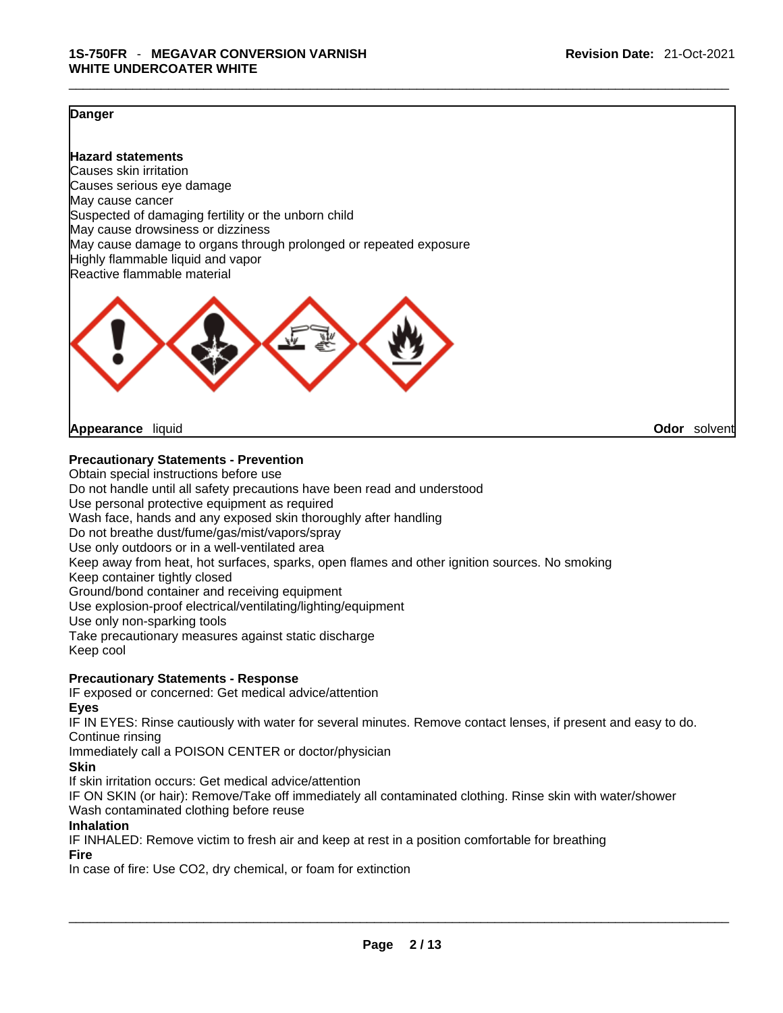#### **Danger**

**Hazard statements** Causes skin irritation Causes serious eye damage May cause cancer Suspected of damaging fertility or the unborn child May cause drowsiness or dizziness May cause damage to organs through prolonged or repeated exposure Highly flammable liquid and vapor Reactive flammable material



**Appearance** liquid **Odor** solvent

#### **Precautionary Statements - Prevention**

Obtain special instructions before use Do not handle until all safety precautions have been read and understood Use personal protective equipment as required Wash face, hands and any exposed skin thoroughly after handling Do not breathe dust/fume/gas/mist/vapors/spray Use only outdoors or in a well-ventilated area Keep away from heat, hot surfaces, sparks, open flames and other ignition sources. No smoking Keep container tightly closed Ground/bond container and receiving equipment Use explosion-proof electrical/ventilating/lighting/equipment Use only non-sparking tools Take precautionary measures against static discharge Keep cool

## **Precautionary Statements - Response**

IF exposed or concerned: Get medical advice/attention

**Eyes**

IF IN EYES: Rinse cautiously with water forseveral minutes. Remove contact lenses, if present and easy to do. Continue rinsing

Immediately call a POISON CENTER or doctor/physician

**Skin**

If skin irritation occurs: Get medical advice/attention

IF ON SKIN (or hair): Remove/Take off immediately all contaminated clothing. Rinse skin with water/shower Wash contaminated clothing before reuse

#### **Inhalation**

IF INHALED: Remove victim to fresh air and keep at rest in a position comfortable for breathing

#### **Fire**

In case of fire: Use CO2, dry chemical, or foam for extinction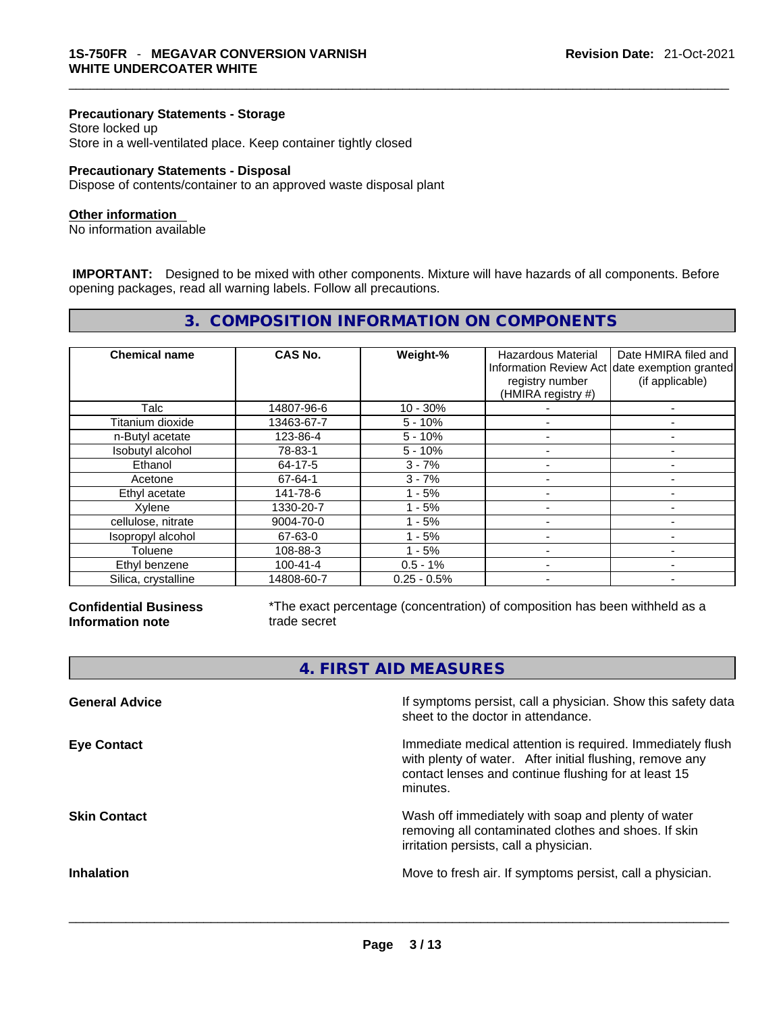### **Precautionary Statements - Storage**

Store locked up Store in a well-ventilated place. Keep container tightly closed

#### **Precautionary Statements - Disposal**

Dispose of contents/container to an approved waste disposal plant

#### **Other information**

No information available

 **IMPORTANT:** Designed to be mixed with other components. Mixture will have hazards of all components. Before opening packages, read all warning labels. Follow all precautions.

# **3. COMPOSITION INFORMATION ON COMPONENTS**

| <b>Chemical name</b> | CAS No.    | Weight-%      | Hazardous Material<br>registry number<br>(HMIRA registry #) | Date HMIRA filed and<br>Information Review Act date exemption granted<br>(if applicable) |
|----------------------|------------|---------------|-------------------------------------------------------------|------------------------------------------------------------------------------------------|
| Talc                 | 14807-96-6 | $10 - 30%$    |                                                             |                                                                                          |
| Titanium dioxide     | 13463-67-7 | $5 - 10%$     |                                                             | ۰                                                                                        |
| n-Butyl acetate      | 123-86-4   | $5 - 10%$     |                                                             |                                                                                          |
| Isobutyl alcohol     | 78-83-1    | $5 - 10%$     |                                                             |                                                                                          |
| Ethanol              | 64-17-5    | $3 - 7%$      |                                                             |                                                                                          |
| Acetone              | 67-64-1    | $3 - 7%$      |                                                             |                                                                                          |
| Ethyl acetate        | 141-78-6   | - 5%          |                                                             |                                                                                          |
| Xylene               | 1330-20-7  | - 5%          |                                                             |                                                                                          |
| cellulose, nitrate   | 9004-70-0  | - 5%          |                                                             |                                                                                          |
| Isopropyl alcohol    | 67-63-0    | - 5%          |                                                             |                                                                                          |
| Toluene              | 108-88-3   | - 5%          |                                                             |                                                                                          |
| Ethyl benzene        | 100-41-4   | $0.5 - 1%$    |                                                             |                                                                                          |
| Silica, crystalline  | 14808-60-7 | $0.25 - 0.5%$ | $\overline{\phantom{a}}$                                    | -                                                                                        |

**Confidential Business Information note**

г

\*The exact percentage (concentration) of composition has been withheld as a trade secret

|                       | 4. FIRST AID MEASURES                                                                                                                                                                      |
|-----------------------|--------------------------------------------------------------------------------------------------------------------------------------------------------------------------------------------|
| <b>General Advice</b> | If symptoms persist, call a physician. Show this safety data<br>sheet to the doctor in attendance.                                                                                         |
| <b>Eye Contact</b>    | Immediate medical attention is required. Immediately flush<br>with plenty of water. After initial flushing, remove any<br>contact lenses and continue flushing for at least 15<br>minutes. |
| <b>Skin Contact</b>   | Wash off immediately with soap and plenty of water<br>removing all contaminated clothes and shoes. If skin<br>irritation persists, call a physician.                                       |
| <b>Inhalation</b>     | Move to fresh air. If symptoms persist, call a physician.                                                                                                                                  |
|                       |                                                                                                                                                                                            |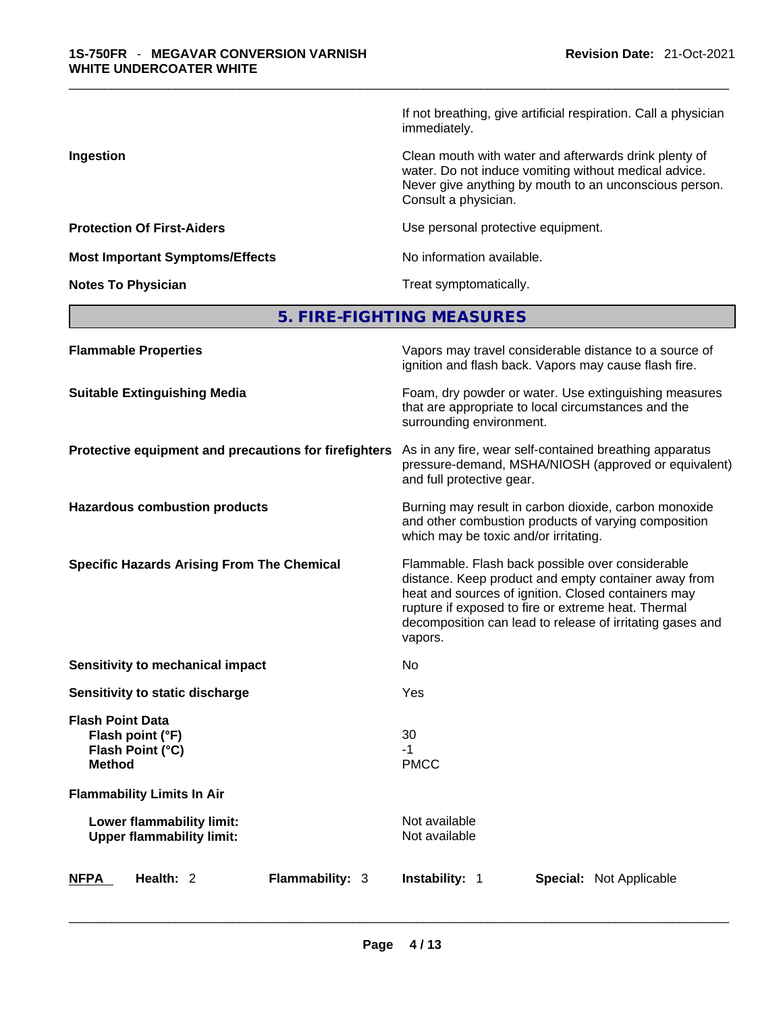If not breathing, give artificial respiration. Call a physician immediately.

**Ingestion Ingestion Ingestion Clean mouth with water and afterwards drink plenty of** water. Do not induce vomiting without medical advice. Never give anything by mouth to an unconscious person. Consult a physician.

**Protection Of First-Aiders Exercise 2018** Use personal protective equipment.

**Most Important Symptoms/Effects** No information available.

**Notes To Physician Treat symptomatically.** 

| 5. FIRE-FIGHTING MEASURES |
|---------------------------|
|---------------------------|

| <b>Flammable Properties</b>                                                      | Vapors may travel considerable distance to a source of<br>ignition and flash back. Vapors may cause flash fire.                                                                                                                                                                                |
|----------------------------------------------------------------------------------|------------------------------------------------------------------------------------------------------------------------------------------------------------------------------------------------------------------------------------------------------------------------------------------------|
| <b>Suitable Extinguishing Media</b>                                              | Foam, dry powder or water. Use extinguishing measures<br>that are appropriate to local circumstances and the<br>surrounding environment.                                                                                                                                                       |
| Protective equipment and precautions for firefighters                            | As in any fire, wear self-contained breathing apparatus<br>pressure-demand, MSHA/NIOSH (approved or equivalent)<br>and full protective gear.                                                                                                                                                   |
| <b>Hazardous combustion products</b>                                             | Burning may result in carbon dioxide, carbon monoxide<br>and other combustion products of varying composition<br>which may be toxic and/or irritating.                                                                                                                                         |
| <b>Specific Hazards Arising From The Chemical</b>                                | Flammable. Flash back possible over considerable<br>distance. Keep product and empty container away from<br>heat and sources of ignition. Closed containers may<br>rupture if exposed to fire or extreme heat. Thermal<br>decomposition can lead to release of irritating gases and<br>vapors. |
| Sensitivity to mechanical impact                                                 | No                                                                                                                                                                                                                                                                                             |
| Sensitivity to static discharge                                                  | Yes                                                                                                                                                                                                                                                                                            |
| <b>Flash Point Data</b><br>Flash point (°F)<br>Flash Point (°C)<br><b>Method</b> | 30<br>-1<br><b>PMCC</b>                                                                                                                                                                                                                                                                        |
| <b>Flammability Limits In Air</b>                                                |                                                                                                                                                                                                                                                                                                |
| Lower flammability limit:<br><b>Upper flammability limit:</b>                    | Not available<br>Not available                                                                                                                                                                                                                                                                 |
| Health: 2<br><b>Flammability: 3</b><br><b>NFPA</b>                               | <b>Instability: 1</b><br><b>Special: Not Applicable</b>                                                                                                                                                                                                                                        |
|                                                                                  |                                                                                                                                                                                                                                                                                                |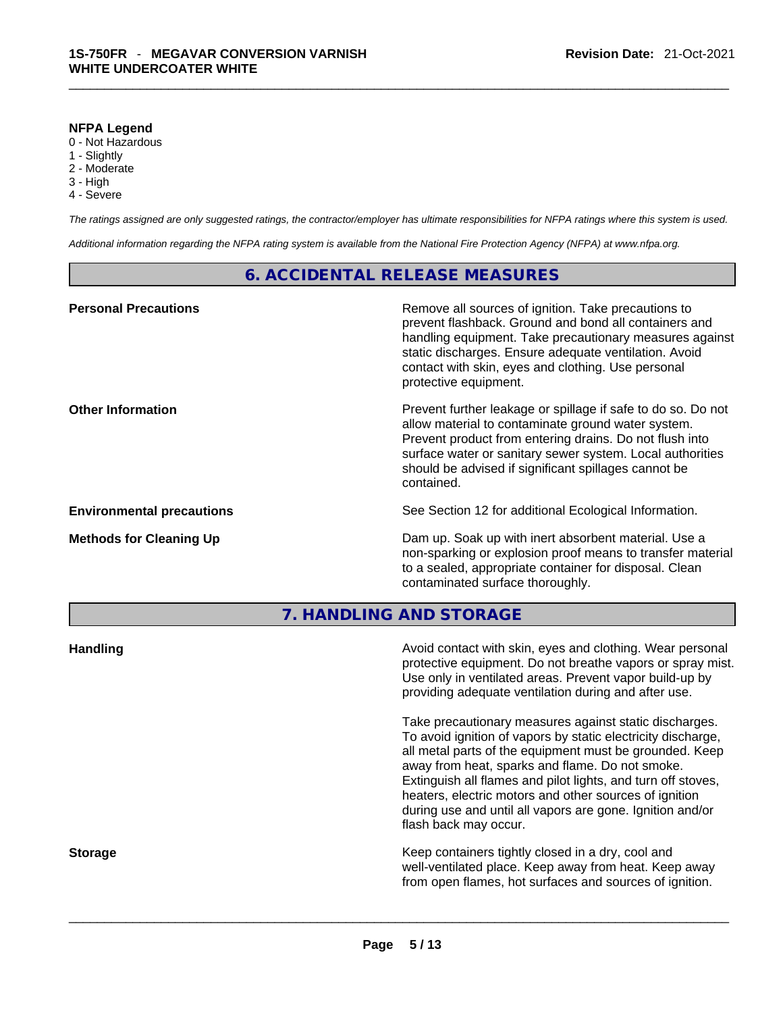#### **NFPA Legend**

- 0 Not Hazardous
- 1 Slightly
- 2 Moderate
- 3 High
- 4 Severe

*The ratings assigned are only suggested ratings, the contractor/employer has ultimate responsibilities for NFPA ratings where this system is used.* 

*Additional information regarding the NFPA rating system is available from the National Fire Protection Agency (NFPA) at www.nfpa.org.* 

#### **6. ACCIDENTAL RELEASE MEASURES**

| <b>Personal Precautions</b>      | Remove all sources of ignition. Take precautions to<br>prevent flashback. Ground and bond all containers and<br>handling equipment. Take precautionary measures against<br>static discharges. Ensure adequate ventilation. Avoid<br>contact with skin, eyes and clothing. Use personal<br>protective equipment.  |
|----------------------------------|------------------------------------------------------------------------------------------------------------------------------------------------------------------------------------------------------------------------------------------------------------------------------------------------------------------|
| <b>Other Information</b>         | Prevent further leakage or spillage if safe to do so. Do not<br>allow material to contaminate ground water system.<br>Prevent product from entering drains. Do not flush into<br>surface water or sanitary sewer system. Local authorities<br>should be advised if significant spillages cannot be<br>contained. |
| <b>Environmental precautions</b> | See Section 12 for additional Ecological Information.                                                                                                                                                                                                                                                            |
| <b>Methods for Cleaning Up</b>   | Dam up. Soak up with inert absorbent material. Use a<br>non-sparking or explosion proof means to transfer material<br>to a sealed, appropriate container for disposal. Clean<br>contaminated surface thoroughly.                                                                                                 |
|                                  | 7. HANDLING AND STORAGE                                                                                                                                                                                                                                                                                          |
| <b>Handling</b>                  | Avoid contact with skin, eyes and clothing. Wear personal<br>protective equipment. Do not breathe vapors or spray mist.<br>Use only in ventilated areas. Prevent vapor build-up by<br>providing adequate ventilation during and after use.                                                                       |

Take precautionary measures against static discharges. To avoid ignition of vapors by static electricity discharge, all metal parts of the equipment must be grounded. Keep away from heat, sparks and flame. Do not smoke. Extinguish all flames and pilot lights, and turn off stoves, heaters, electric motors and other sources of ignition during use and until all vapors are gone. Ignition and/or flash back may occur.

**Storage Keep containers tightly closed in a dry, cool and get a dry and storage Keep containers tightly closed in a dry, cool and** well-ventilated place. Keep away from heat. Keep away from open flames, hot surfaces and sources of ignition.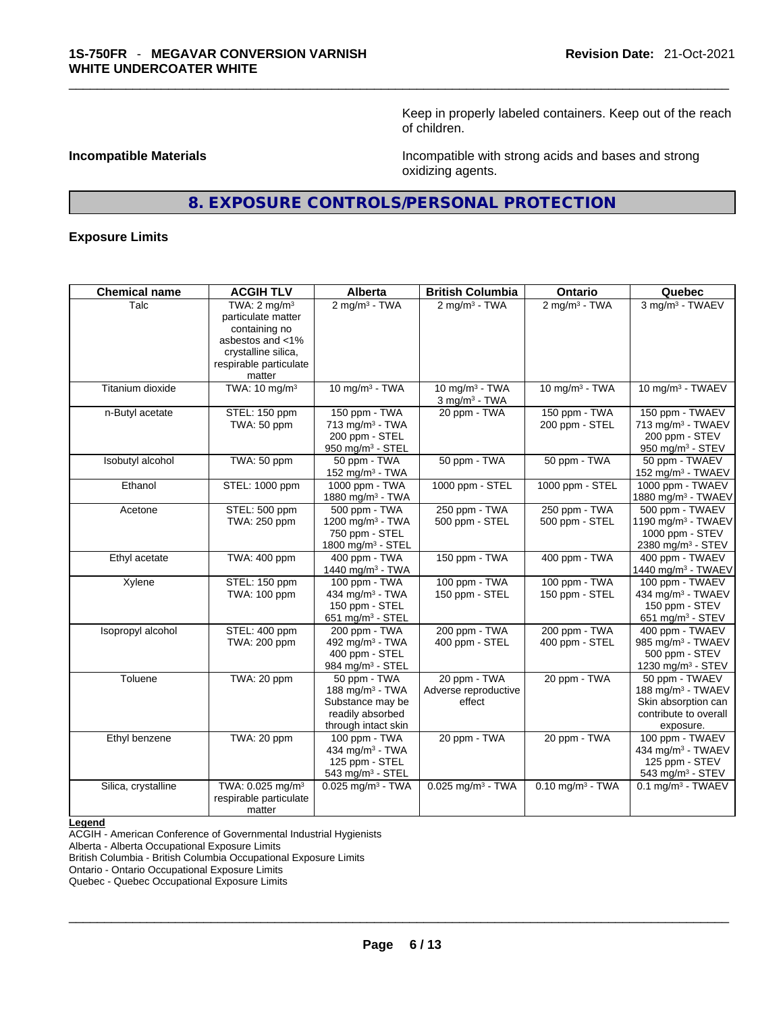Keep in properly labeled containers. Keep out of the reach of children.

**Incompatible Materials Incompatible Materials Incompatible with strong acids and bases and strong** oxidizing agents.

# **8. EXPOSURE CONTROLS/PERSONAL PROTECTION**

#### **Exposure Limits**

| <b>Chemical name</b> | <b>ACGIH TLV</b>             | <b>Alberta</b>                  | <b>British Columbia</b>         | Ontario                        | Quebec                          |
|----------------------|------------------------------|---------------------------------|---------------------------------|--------------------------------|---------------------------------|
| Talc                 | TWA: $2 \text{ mq/m}^3$      | $2$ mg/m <sup>3</sup> - TWA     | $2$ mg/m <sup>3</sup> - TWA     | $2$ mg/m <sup>3</sup> - TWA    | 3 mg/m <sup>3</sup> - TWAEV     |
|                      | particulate matter           |                                 |                                 |                                |                                 |
|                      | containing no                |                                 |                                 |                                |                                 |
|                      | asbestos and <1%             |                                 |                                 |                                |                                 |
|                      | crystalline silica.          |                                 |                                 |                                |                                 |
|                      | respirable particulate       |                                 |                                 |                                |                                 |
|                      | matter                       |                                 |                                 |                                |                                 |
| Titanium dioxide     | TWA: 10 mg/m <sup>3</sup>    | 10 mg/m $3$ - TWA               | 10 mg/m $3$ - TWA               | 10 mg/m $3$ - TWA              | 10 mg/m <sup>3</sup> - TWAEV    |
|                      |                              |                                 | $3$ mg/m $3$ - TWA              |                                |                                 |
| n-Butyl acetate      | STEL: 150 ppm                | 150 ppm - TWA                   | 20 ppm - TWA                    | $150$ ppm - TWA                | 150 ppm - TWAEV                 |
|                      | TWA: 50 ppm                  | 713 mg/m $3$ - TWA              |                                 | 200 ppm - STEL                 | 713 mg/m <sup>3</sup> - TWAEV   |
|                      |                              | 200 ppm - STEL                  |                                 |                                | 200 ppm - STEV                  |
|                      |                              | 950 mg/m <sup>3</sup> - STEL    |                                 |                                | 950 mg/m <sup>3</sup> - STEV    |
| Isobutyl alcohol     | TWA: 50 ppm                  | 50 ppm - TWA                    | 50 ppm - TWA                    | 50 ppm - TWA                   | 50 ppm - TWAEV                  |
|                      |                              | 152 mg/m <sup>3</sup> - TWA     |                                 |                                | 152 mg/m <sup>3</sup> - TWAEV   |
| Ethanol              | STEL: 1000 ppm               | 1000 ppm - TWA                  | 1000 ppm - STEL                 | 1000 ppm - STEL                | 1000 ppm - TWAEV                |
|                      |                              | 1880 mg/m <sup>3</sup> - TWA    |                                 |                                | 1880 mg/m <sup>3</sup> - TWAEV  |
| Acetone              | STEL: 500 ppm                | 500 ppm - TWA                   | 250 ppm - TWA                   | 250 ppm - TWA                  | 500 ppm - TWAEV                 |
|                      | TWA: 250 ppm                 | 1200 mg/m <sup>3</sup> - TWA    | 500 ppm - STEL                  | 500 ppm - STEL                 | 1190 mg/m <sup>3</sup> - TWAEV  |
|                      |                              | 750 ppm - STEL                  |                                 |                                | 1000 ppm - STEV                 |
|                      |                              | 1800 mg/m <sup>3</sup> - STEL   |                                 |                                | 2380 mg/m <sup>3</sup> - STEV   |
| Ethyl acetate        | TWA: 400 ppm                 | 400 ppm - TWA                   | 150 ppm - TWA                   | 400 ppm - TWA                  | 400 ppm - TWAEV                 |
|                      |                              | 1440 mg/m <sup>3</sup> - TWA    |                                 |                                | 1440 mg/m <sup>3</sup> - TWAEV  |
| Xylene               | STEL: 150 ppm                | 100 ppm - TWA                   | 100 ppm - TWA                   | 100 ppm - TWA                  | 100 ppm - TWAEV                 |
|                      | TWA: 100 ppm                 | 434 mg/m <sup>3</sup> - TWA     | 150 ppm - STEL                  | 150 ppm - STEL                 | 434 mg/m <sup>3</sup> - TWAEV   |
|                      |                              | 150 ppm - STEL                  |                                 |                                | 150 ppm - STEV                  |
|                      |                              | 651 mg/m <sup>3</sup> - STEL    |                                 |                                | 651 mg/m <sup>3</sup> - STEV    |
| Isopropyl alcohol    | STEL: 400 ppm                | 200 ppm - TWA                   | 200 ppm - TWA                   | 200 ppm - TWA                  | 400 ppm - TWAEV                 |
|                      | TWA: 200 ppm                 | 492 mg/m <sup>3</sup> - TWA     | 400 ppm - STEL                  | 400 ppm - STEL                 | 985 mg/m <sup>3</sup> - TWAEV   |
|                      |                              | 400 ppm - STEL                  |                                 |                                | 500 ppm - STEV                  |
|                      |                              | 984 mg/m <sup>3</sup> - STEL    |                                 |                                | 1230 mg/m <sup>3</sup> - STEV   |
| Toluene              | TWA: 20 ppm                  | 50 ppm - TWA                    | 20 ppm - TWA                    | 20 ppm - TWA                   | 50 ppm - TWAEV                  |
|                      |                              | 188 mg/m <sup>3</sup> - TWA     | Adverse reproductive            |                                | 188 mg/m <sup>3</sup> - TWAEV   |
|                      |                              | Substance may be                | effect                          |                                | Skin absorption can             |
|                      |                              | readily absorbed                |                                 |                                | contribute to overall           |
|                      |                              | through intact skin             |                                 |                                | exposure.                       |
| Ethyl benzene        | TWA: 20 ppm                  | 100 ppm - TWA                   | 20 ppm - TWA                    | 20 ppm - TWA                   | 100 ppm - TWAEV                 |
|                      |                              | 434 mg/m <sup>3</sup> - TWA     |                                 |                                | 434 mg/m <sup>3</sup> - TWAEV   |
|                      |                              | 125 ppm - STEL                  |                                 |                                | 125 ppm - STEV                  |
|                      |                              | 543 mg/m <sup>3</sup> - STEL    |                                 |                                | 543 mg/m <sup>3</sup> - STEV    |
| Silica, crystalline  | TWA: 0.025 mg/m <sup>3</sup> | $0.025$ mg/m <sup>3</sup> - TWA | $0.025$ mg/m <sup>3</sup> - TWA | $0.10$ mg/m <sup>3</sup> - TWA | $0.1$ mg/m <sup>3</sup> - TWAEV |
|                      | respirable particulate       |                                 |                                 |                                |                                 |
|                      | matter                       |                                 |                                 |                                |                                 |
|                      |                              |                                 |                                 |                                |                                 |

#### **Legend**

ACGIH - American Conference of Governmental Industrial Hygienists

Alberta - Alberta Occupational Exposure Limits

British Columbia - British Columbia Occupational Exposure Limits

Ontario - Ontario Occupational Exposure Limits

Quebec - Quebec Occupational Exposure Limits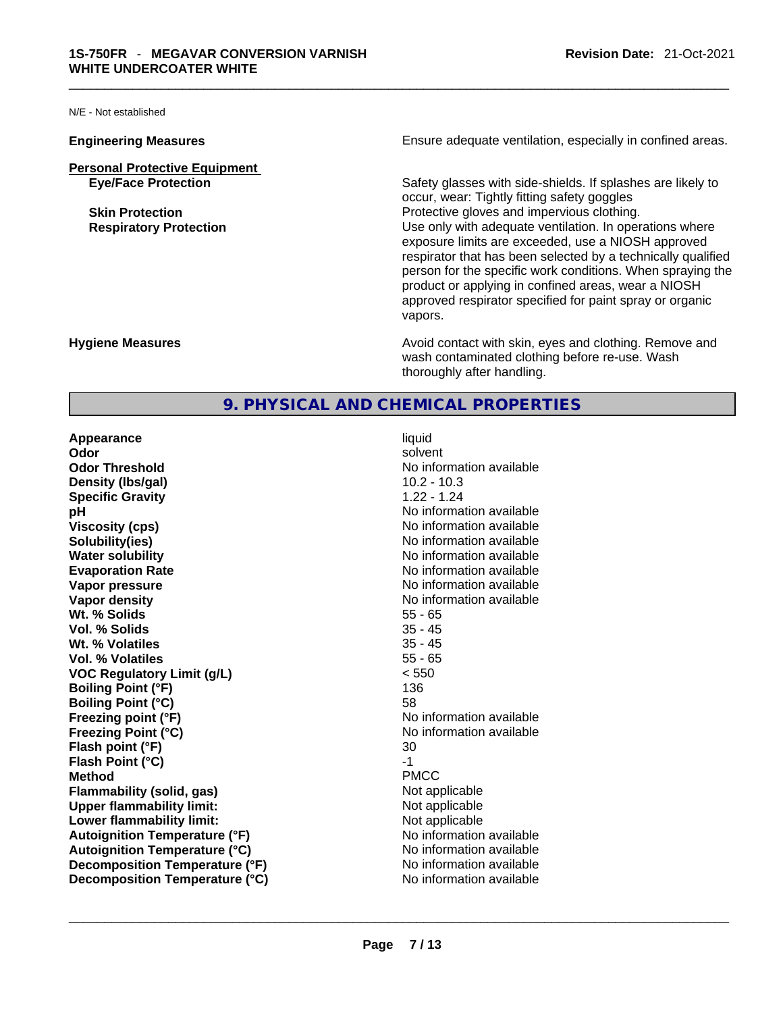N/E - Not established

- **Personal Protective Equipment**
	-

**Engineering Measures Ensure** Ensure adequate ventilation, especially in confined areas.

**Eye/Face Protection** Safety glasses with side-shields. If splashes are likely to occur, wear: Tightly fitting safety goggles **Skin Protection Protection Protective gloves and impervious clothing. Respiratory Protection Number 2012** Use only with adequate ventilation. In operations where exposure limits are exceeded, use a NIOSH approved respirator that has been selected by a technically qualified person for the specific work conditions. When spraying the product or applying in confined areas, wear a NIOSH approved respirator specified for paint spray or organic vapors.

**Hygiene Measures Avoid contact with skin, eyes and clothing. Remove and Avoid contact with skin, eyes and clothing. Remove and Avoid contact with skin, eyes and clothing. Remove and** wash contaminated clothing before re-use. Wash thoroughly after handling.

### **9. PHYSICAL AND CHEMICAL PROPERTIES**

**Appearance** liquid **Odor** solvent **Odor Threshold No information available No information available Density (lbs/gal)** 10.2 - 10.3 **Specific Gravity** 1.22 - 1.24 **pH bH 1 Viscosity (cps)** <br> **Viscosity (cps)** <br> **Solubility(ies)** <br> **No** information available **Water solubility Water solubility No information available Evaporation Rate Note 2008 No information available Note 2008 No information available Vapor pressure No information available Vapor density Vapor** density **No** information available **Wt. % Solids** 55 - 65 **Vol. % Solids Wt. % Volatiles** 35 - 45 **Vol. % Volatiles** 55 - 65 **VOC Regulatory Limit (g/L)** < 550 **Boiling Point (°F)** 136 **Boiling Point (°C)** 58 **Freezing point (°F) Freezing Point (°C)** No information available **Flash point (°F)** 30 **Flash Point (°C)** -1 **Method** PMCC **Flammability (solid, gas)** Not applicable<br> **Upper flammability limit:** Not applicable **Upper flammability limit: Lower flammability limit:** Not applicable **Autoignition Temperature (°F)**<br> **Autoignition Temperature (°C)** No information available **Autoignition Temperature (°C) Decomposition Temperature (°F)**<br> **Decomposition Temperature (°C)**<br>
No information available

No information available **Decomposition Temperature (°C)** No information available  $\overline{a}$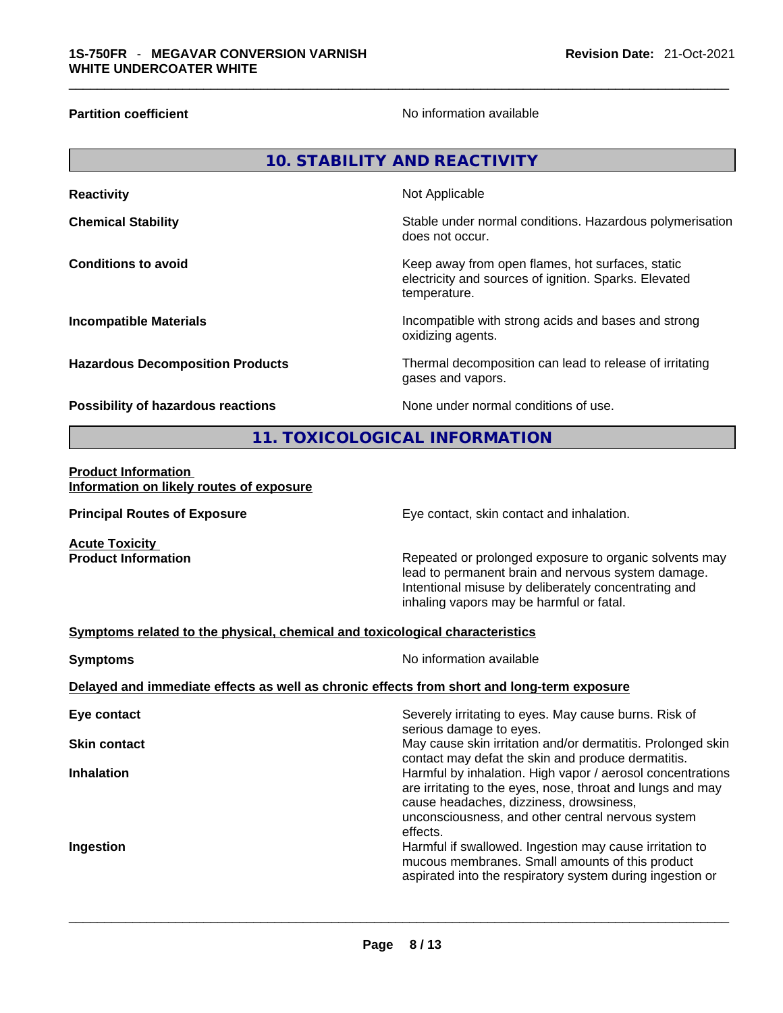**Partition coefficient Contract Contract Contract Contract Contract Contract Contract Contract Contract Contract Contract Contract Contract Contract Contract Contract Contract Contract Contract Contract Contract Contract** 

| <b>10. STABILITY AND REACTIVITY</b>                                          |                                                                                                                                                                                                                  |  |  |
|------------------------------------------------------------------------------|------------------------------------------------------------------------------------------------------------------------------------------------------------------------------------------------------------------|--|--|
| <b>Reactivity</b>                                                            | Not Applicable                                                                                                                                                                                                   |  |  |
| <b>Chemical Stability</b>                                                    | Stable under normal conditions. Hazardous polymerisation<br>does not occur.                                                                                                                                      |  |  |
| <b>Conditions to avoid</b>                                                   | Keep away from open flames, hot surfaces, static<br>electricity and sources of ignition. Sparks. Elevated<br>temperature.                                                                                        |  |  |
| <b>Incompatible Materials</b>                                                | Incompatible with strong acids and bases and strong<br>oxidizing agents.                                                                                                                                         |  |  |
| <b>Hazardous Decomposition Products</b>                                      | Thermal decomposition can lead to release of irritating<br>gases and vapors.                                                                                                                                     |  |  |
| Possibility of hazardous reactions                                           | None under normal conditions of use.                                                                                                                                                                             |  |  |
|                                                                              | 11. TOXICOLOGICAL INFORMATION                                                                                                                                                                                    |  |  |
| <b>Product Information</b><br>Information on likely routes of exposure       |                                                                                                                                                                                                                  |  |  |
| <b>Principal Routes of Exposure</b>                                          | Eye contact, skin contact and inhalation.                                                                                                                                                                        |  |  |
| <b>Acute Toxicity</b><br><b>Product Information</b>                          | Repeated or prolonged exposure to organic solvents may<br>lead to permanent brain and nervous system damage.<br>Intentional misuse by deliberately concentrating and<br>inhaling vapors may be harmful or fatal. |  |  |
| Symptoms related to the physical, chemical and toxicological characteristics |                                                                                                                                                                                                                  |  |  |
| <b>Symptoms</b>                                                              | No information available                                                                                                                                                                                         |  |  |
|                                                                              | Delayed and immediate effects as well as chronic effects from short and long-term exposure                                                                                                                       |  |  |
| Eye contact                                                                  | Severely irritating to eyes. May cause burns. Risk of<br>serious damage to eyes.                                                                                                                                 |  |  |
| <b>Skin contact</b>                                                          | May cause skin irritation and/or dermatitis. Prolonged skin                                                                                                                                                      |  |  |

**Inhalation Inhalation Harmful by inhalation. High vapor / aerosol concentrations** 

**Ingestion Ingestion Ingestion Harmful if swallowed. Ingestion may cause irritation to** 

 $\_$  ,  $\_$  ,  $\_$  ,  $\_$  ,  $\_$  ,  $\_$  ,  $\_$  ,  $\_$  ,  $\_$  ,  $\_$  ,  $\_$  ,  $\_$  ,  $\_$  ,  $\_$  ,  $\_$  ,  $\_$  ,  $\_$  ,  $\_$  ,  $\_$  ,  $\_$  ,  $\_$  ,  $\_$  ,  $\_$  ,  $\_$  ,  $\_$  ,  $\_$  ,  $\_$  ,  $\_$  ,  $\_$  ,  $\_$  ,  $\_$  ,  $\_$  ,  $\_$  ,  $\_$  ,  $\_$  ,  $\_$  ,  $\_$  ,

effects.

contact may defat the skin and produce dermatitis.

unconsciousness, and other central nervous system

mucous membranes. Small amounts of this product aspirated into the respiratory system during ingestion or

cause headaches, dizziness, drowsiness,

are irritating to the eyes, nose, throat and lungs and may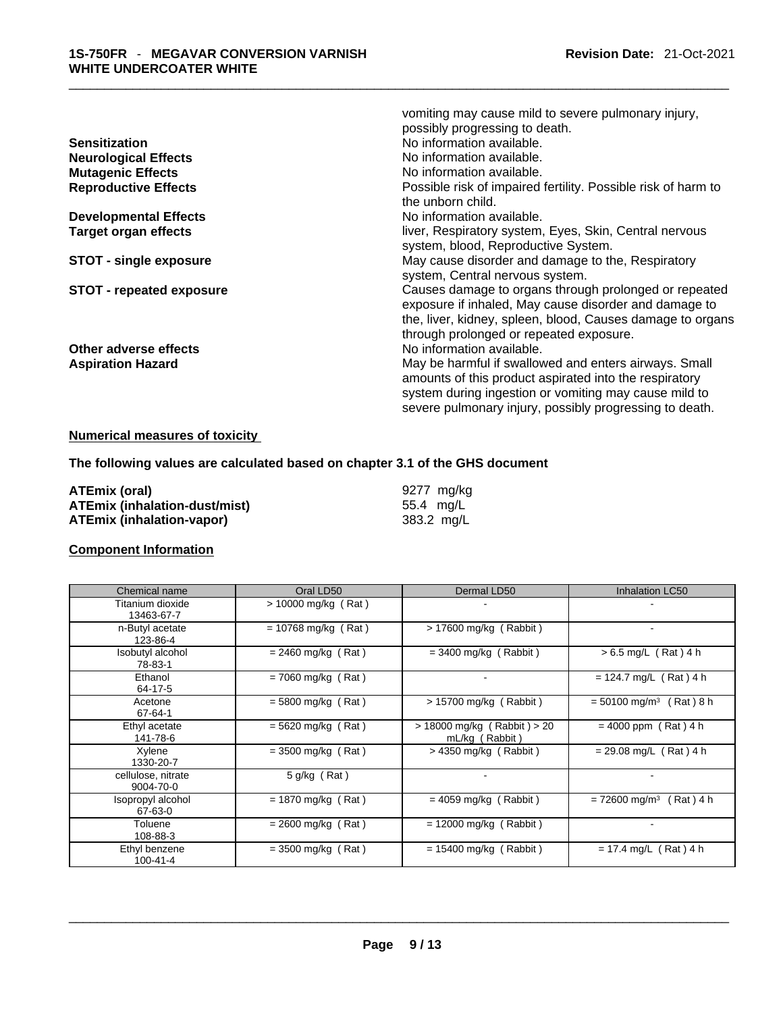| vomiting may cause mild to severe pulmonary injury,<br>possibly progressing to death.<br>No information available.<br>No information available.<br>No information available.<br>Possible risk of impaired fertility. Possible risk of harm to |
|-----------------------------------------------------------------------------------------------------------------------------------------------------------------------------------------------------------------------------------------------|
| the unborn child.                                                                                                                                                                                                                             |
| No information available.                                                                                                                                                                                                                     |
| liver, Respiratory system, Eyes, Skin, Central nervous<br>system, blood, Reproductive System.                                                                                                                                                 |
| May cause disorder and damage to the, Respiratory<br>system, Central nervous system.                                                                                                                                                          |
| Causes damage to organs through prolonged or repeated<br>exposure if inhaled, May cause disorder and damage to<br>the, liver, kidney, spleen, blood, Causes damage to organs<br>through prolonged or repeated exposure.                       |
| No information available.                                                                                                                                                                                                                     |
| May be harmful if swallowed and enters airways. Small<br>amounts of this product aspirated into the respiratory<br>system during ingestion or vomiting may cause mild to<br>severe pulmonary injury, possibly progressing to death.           |
|                                                                                                                                                                                                                                               |

# **Numerical measures of toxicity**

### **The following values are calculated based on chapter 3.1 of the GHS document**

| ATEmix (oral)                        | 9277 ma/ka |
|--------------------------------------|------------|
| <b>ATEmix (inhalation-dust/mist)</b> | 55.4 ma/L  |
| ATEmix (inhalation-vapor)            | 383.2 mg/L |

## **Component Information**

| Chemical name                   | Oral LD50             | Dermal LD50                                       | <b>Inhalation LC50</b>                |
|---------------------------------|-----------------------|---------------------------------------------------|---------------------------------------|
| Titanium dioxide<br>13463-67-7  | $> 10000$ mg/kg (Rat) |                                                   |                                       |
| n-Butyl acetate<br>123-86-4     | $= 10768$ mg/kg (Rat) | > 17600 mg/kg (Rabbit)                            | ۰                                     |
| Isobutyl alcohol<br>78-83-1     | $= 2460$ mg/kg (Rat)  | $=$ 3400 mg/kg (Rabbit)                           | $> 6.5$ mg/L (Rat) 4 h                |
| Ethanol<br>64-17-5              | $= 7060$ mg/kg (Rat)  |                                                   | $= 124.7$ mg/L (Rat) 4 h              |
| Acetone<br>67-64-1              | $= 5800$ mg/kg (Rat)  | > 15700 mg/kg (Rabbit)                            | $= 50100$ mg/m <sup>3</sup> (Rat) 8 h |
| Ethyl acetate<br>141-78-6       | $= 5620$ mg/kg (Rat)  | $> 18000$ mg/kg (Rabbit) $> 20$<br>mL/kg (Rabbit) | $= 4000$ ppm (Rat) 4 h                |
| Xylene<br>1330-20-7             | $=$ 3500 mg/kg (Rat)  | $>$ 4350 mg/kg (Rabbit)                           | $= 29.08$ mg/L (Rat) 4 h              |
| cellulose, nitrate<br>9004-70-0 | $5$ g/kg (Rat)        | $\blacksquare$                                    |                                       |
| Isopropyl alcohol<br>67-63-0    | $= 1870$ mg/kg (Rat)  | $= 4059$ mg/kg (Rabbit)                           | $= 72600$ mg/m <sup>3</sup> (Rat) 4 h |
| Toluene<br>108-88-3             | $= 2600$ mg/kg (Rat)  | $= 12000$ mg/kg (Rabbit)                          |                                       |
| Ethyl benzene<br>$100 - 41 - 4$ | $=$ 3500 mg/kg (Rat)  | $= 15400$ mg/kg (Rabbit)                          | $= 17.4$ mg/L (Rat) 4 h               |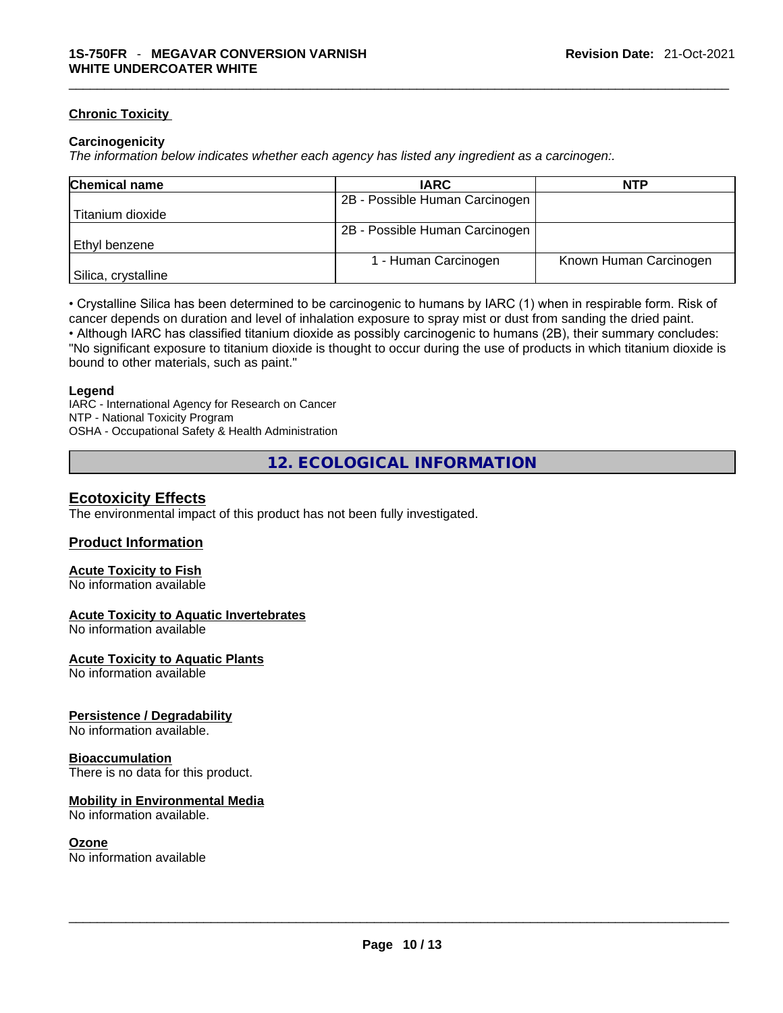#### **Chronic Toxicity**

#### **Carcinogenicity**

*The information below indicates whether each agency has listed any ingredient as a carcinogen:.* 

| <b>Chemical name</b> | <b>IARC</b>                    | NTP                    |
|----------------------|--------------------------------|------------------------|
|                      | 2B - Possible Human Carcinogen |                        |
| Titanium dioxide     |                                |                        |
|                      | 2B - Possible Human Carcinogen |                        |
| Ethyl benzene        |                                |                        |
|                      | 1 - Human Carcinogen           | Known Human Carcinogen |
| Silica, crystalline  |                                |                        |

• Crystalline Silica has been determined to be carcinogenic to humans by IARC (1) when in respirable form. Risk of cancer depends on duration and level of inhalation exposure to spray mist or dust from sanding the dried paint.• Although IARC has classified titanium dioxide as possibly carcinogenic to humans (2B), their summary concludes: "No significant exposure to titanium dioxide is thought to occur during the use of products in which titanium dioxide is bound to other materials, such as paint."

#### **Legend**

IARC - International Agency for Research on Cancer NTP - National Toxicity Program OSHA - Occupational Safety & Health Administration

**12. ECOLOGICAL INFORMATION** 

# **Ecotoxicity Effects**

The environmental impact of this product has not been fully investigated.

#### **Product Information**

#### **Acute Toxicity to Fish**

No information available

#### **Acute Toxicity to Aquatic Invertebrates**

No information available

#### **Acute Toxicity to Aquatic Plants**

No information available

#### **Persistence / Degradability**

No information available.

#### **Bioaccumulation**

There is no data for this product.

#### **Mobility in Environmental Media**

No information available.

#### **Ozone**

No information available \_\_\_\_\_\_\_\_\_\_\_\_\_\_\_\_\_\_\_\_\_\_\_\_\_\_\_\_\_\_\_\_\_\_\_\_\_\_\_\_\_\_\_\_\_\_\_\_\_\_\_\_\_\_\_\_\_\_\_\_\_\_\_\_\_\_\_\_\_\_\_\_\_\_\_\_\_\_\_\_\_\_\_\_\_\_\_\_\_\_\_\_\_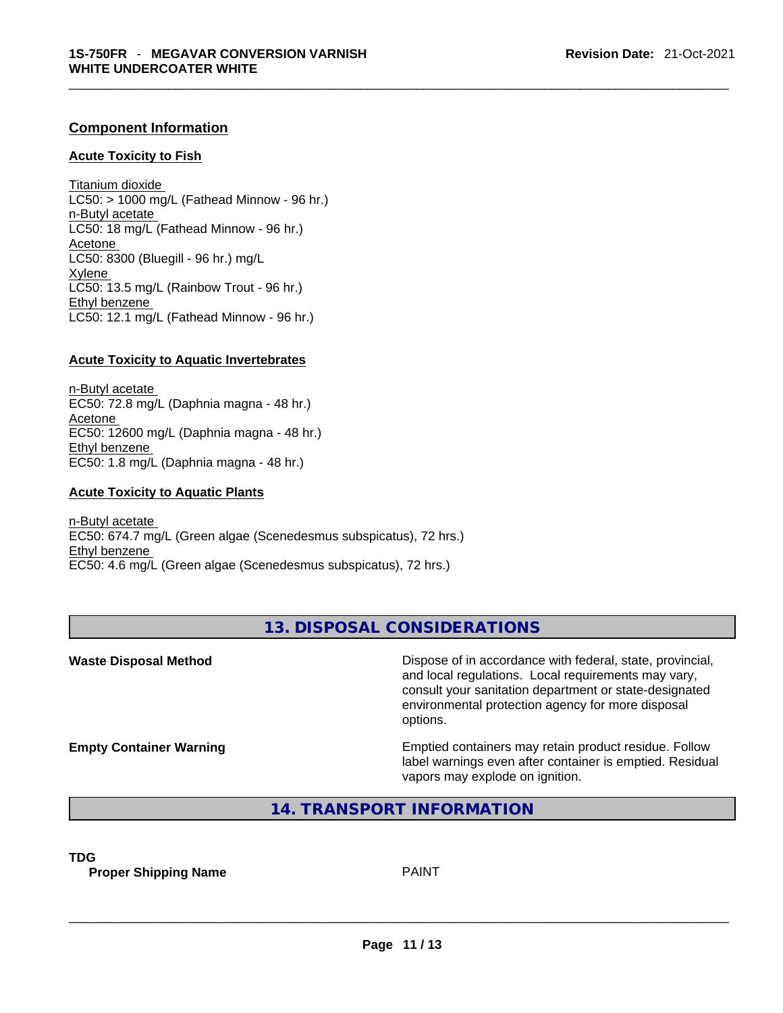#### **Component Information**

#### **Acute Toxicity to Fish**

Titanium dioxide  $LC50:$  > 1000 mg/L (Fathead Minnow - 96 hr.) n-Butyl acetate LC50: 18 mg/L (Fathead Minnow - 96 hr.) Acetone LC50: 8300 (Bluegill - 96 hr.) mg/L Xylene LC50: 13.5 mg/L (Rainbow Trout - 96 hr.) Ethyl benzene LC50: 12.1 mg/L (Fathead Minnow - 96 hr.)

#### **Acute Toxicity to Aquatic Invertebrates**

n-Butyl acetate EC50: 72.8 mg/L (Daphnia magna - 48 hr.) Acetone EC50: 12600 mg/L (Daphnia magna - 48 hr.) Ethyl benzene EC50: 1.8 mg/L (Daphnia magna - 48 hr.)

#### **Acute Toxicity to Aquatic Plants**

n-Butyl acetate EC50: 674.7 mg/L (Green algae (Scenedesmus subspicatus), 72 hrs.) Ethyl benzene EC50: 4.6 mg/L (Green algae (Scenedesmus subspicatus), 72 hrs.)

# **13. DISPOSAL CONSIDERATIONS**

**Waste Disposal Method** Dispose of in accordance with federal, state, provincial, and local regulations. Local requirements may vary, consult your sanitation department or state-designated environmental protection agency for more disposal options.

**Empty Container Warning <b>Emptied** Containers may retain product residue. Follow label warnings even after container is emptied. Residual vapors may explode on ignition.

# **14. TRANSPORT INFORMATION**

**TDG** 

**Proper Shipping Name** PAINT \_\_\_\_\_\_\_\_\_\_\_\_\_\_\_\_\_\_\_\_\_\_\_\_\_\_\_\_\_\_\_\_\_\_\_\_\_\_\_\_\_\_\_\_\_\_\_\_\_\_\_\_\_\_\_\_\_\_\_\_\_\_\_\_\_\_\_\_\_\_\_\_\_\_\_\_\_\_\_\_\_\_\_\_\_\_\_\_\_\_\_\_\_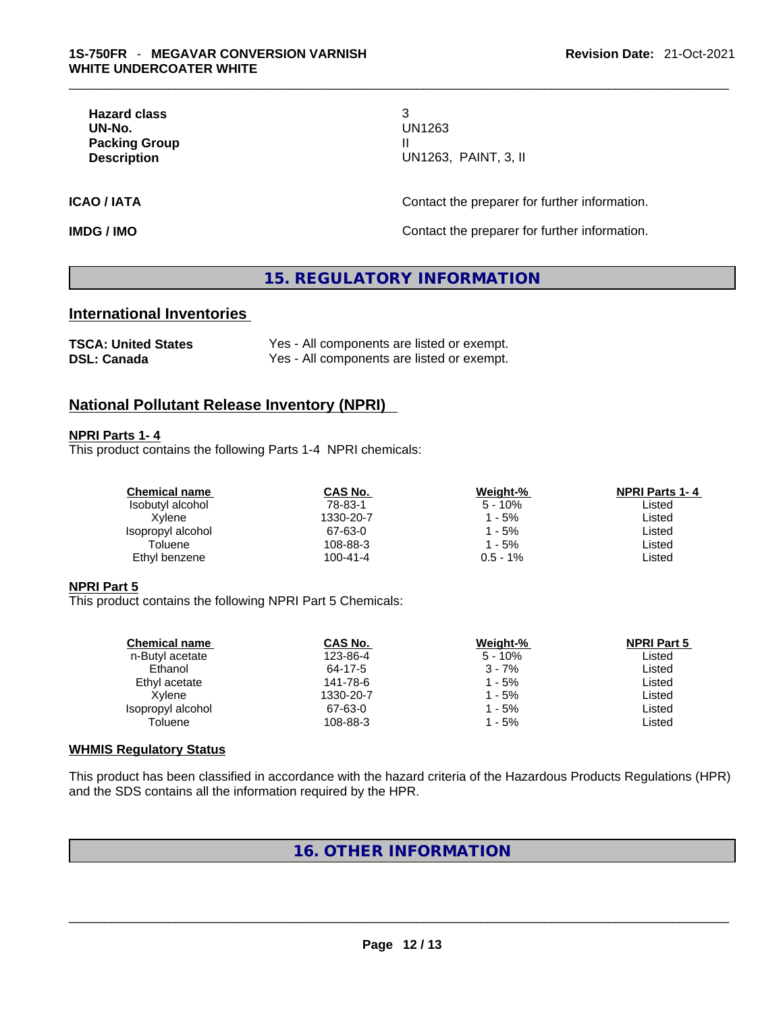**Hazard class** 3 **Packing Group** II

# **UN-No.** UN1263 **Description** UN1263, PAINT, 3, II

**ICAO / IATA CONTACTER CONTACTER INCOVER THE CONTACT CONTACT OF EXAMPLE INCOVER THE PREPARER INCOLLECT ACTS** 

**IMDG / IMO Contact the preparer for further information.** 

# **15. REGULATORY INFORMATION**

# **International Inventories**

| <b>TSCA: United States</b> | Yes - All components are listed or exempt. |
|----------------------------|--------------------------------------------|
| <b>DSL: Canada</b>         | Yes - All components are listed or exempt. |

### **National Pollutant Release Inventory (NPRI)**

#### **NPRI Parts 1- 4**

This product contains the following Parts 1-4 NPRI chemicals:

| <b>Chemical name</b> | CAS No.        | Weight-%   | <b>NPRI Parts 1-4</b> |
|----------------------|----------------|------------|-----------------------|
| Isobutyl alcohol     | 78-83-1        | $5 - 10%$  | Listed                |
| Xvlene               | 1330-20-7      | - 5%       | Listed                |
| Isopropyl alcohol    | 67-63-0        | - 5%       | Listed                |
| Toluene              | 108-88-3       | - 5%       | ∟isted                |
| Ethyl benzene        | $100 - 41 - 4$ | $0.5 - 1%$ | ∟isted                |
|                      |                |            |                       |

#### **NPRI Part 5**

This product contains the following NPRI Part 5 Chemicals:

| <b>Chemical name</b> | <b>CAS No.</b> | Weight-%  | <b>NPRI Part 5</b> |  |
|----------------------|----------------|-----------|--------------------|--|
| n-Butyl acetate      | 123-86-4       | $5 - 10%$ | Listed             |  |
| Ethanol              | 64-17-5        | $3 - 7%$  | Listed             |  |
| Ethyl acetate        | 141-78-6       | 1 - 5%    | Listed             |  |
| Xvlene               | 1330-20-7      | 1 - 5%    | Listed             |  |
| Isopropyl alcohol    | 67-63-0        | 1 - 5%    | Listed             |  |
| Toluene              | 108-88-3       | 1 - 5%    | Listed             |  |
|                      |                |           |                    |  |

#### **WHMIS Regulatory Status**

This product has been classified in accordance with the hazard criteria of the Hazardous Products Regulations (HPR) and the SDS contains all the information required by the HPR.

# **16. OTHER INFORMATION**